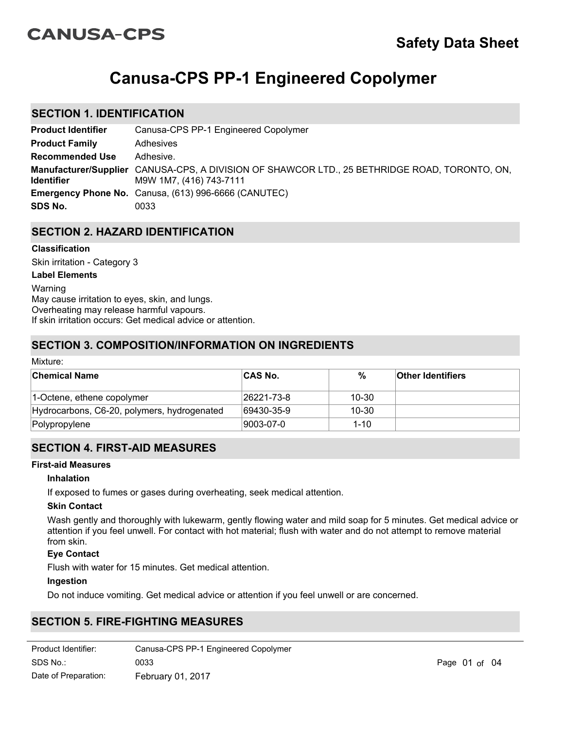# **CANUSA-CPS**

# **Canusa-CPS PP-1 Engineered Copolymer**

## **SECTION 1. IDENTIFICATION**

| <b>Product Identifier</b> | Canusa-CPS PP-1 Engineered Copolymer                                                                                     |
|---------------------------|--------------------------------------------------------------------------------------------------------------------------|
| <b>Product Family</b>     | Adhesives                                                                                                                |
| <b>Recommended Use</b>    | Adhesive.                                                                                                                |
| <b>Identifier</b>         | Manufacturer/Supplier CANUSA-CPS, A DIVISION OF SHAWCOR LTD., 25 BETHRIDGE ROAD, TORONTO, ON,<br>M9W 1M7, (416) 743-7111 |
|                           | Emergency Phone No. Canusa, (613) 996-6666 (CANUTEC)                                                                     |
| SDS No.                   | 0033                                                                                                                     |

## **SECTION 2. HAZARD IDENTIFICATION**

## **Classification**

Skin irritation - Category 3

## **Label Elements**

Warning May cause irritation to eyes, skin, and lungs. Overheating may release harmful vapours. If skin irritation occurs: Get medical advice or attention.

## **SECTION 3. COMPOSITION/INFORMATION ON INGREDIENTS**

| Mixture:                                    |            |           |                          |  |
|---------------------------------------------|------------|-----------|--------------------------|--|
| <b>Chemical Name</b>                        | ∣CAS No.   | %         | <b>Other Identifiers</b> |  |
| 1-Octene, ethene copolymer                  | 26221-73-8 | $10 - 30$ |                          |  |
| Hydrocarbons, C6-20, polymers, hydrogenated | 69430-35-9 | $10 - 30$ |                          |  |
| Polypropylene                               | 9003-07-0  | $1 - 10$  |                          |  |

## **SECTION 4. FIRST-AID MEASURES**

#### **First-aid Measures**

#### **Inhalation**

If exposed to fumes or gases during overheating, seek medical attention.

#### **Skin Contact**

Wash gently and thoroughly with lukewarm, gently flowing water and mild soap for 5 minutes. Get medical advice or attention if you feel unwell. For contact with hot material; flush with water and do not attempt to remove material from skin.

#### **Eye Contact**

Flush with water for 15 minutes. Get medical attention.

#### **Ingestion**

Do not induce vomiting. Get medical advice or attention if you feel unwell or are concerned.

## **SECTION 5. FIRE-FIGHTING MEASURES**

| Product Identifier:  | Canusa-CPS PP-1 Engineered Copolymer |
|----------------------|--------------------------------------|
| SDS No.:             | 0033                                 |
| Date of Preparation: | February 01, 2017                    |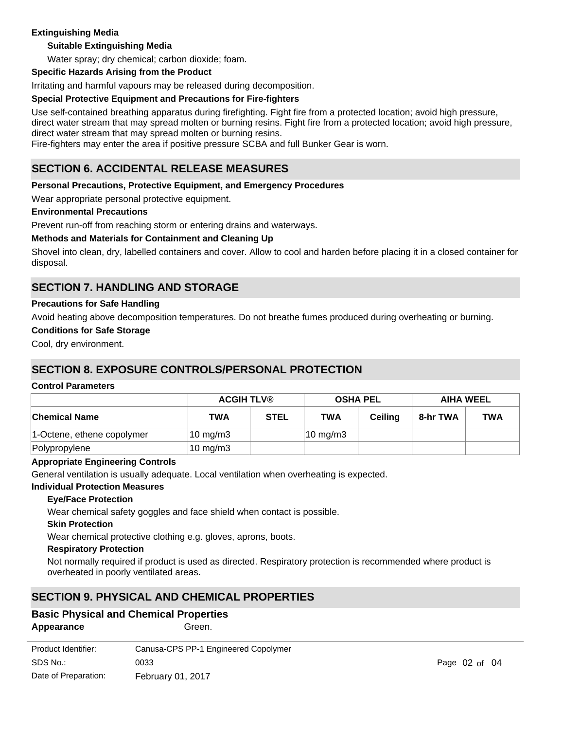## **Extinguishing Media**

## **Suitable Extinguishing Media**

Water spray; dry chemical; carbon dioxide; foam.

## **Specific Hazards Arising from the Product**

Irritating and harmful vapours may be released during decomposition.

## **Special Protective Equipment and Precautions for Fire-fighters**

Use self-contained breathing apparatus during firefighting. Fight fire from a protected location; avoid high pressure, direct water stream that may spread molten or burning resins. Fight fire from a protected location; avoid high pressure, direct water stream that may spread molten or burning resins.

Fire-fighters may enter the area if positive pressure SCBA and full Bunker Gear is worn.

## **SECTION 6. ACCIDENTAL RELEASE MEASURES**

## **Personal Precautions, Protective Equipment, and Emergency Procedures**

Wear appropriate personal protective equipment.

## **Environmental Precautions**

Prevent run-off from reaching storm or entering drains and waterways.

## **Methods and Materials for Containment and Cleaning Up**

Shovel into clean, dry, labelled containers and cover. Allow to cool and harden before placing it in a closed container for disposal.

## **SECTION 7. HANDLING AND STORAGE**

## **Precautions for Safe Handling**

Avoid heating above decomposition temperatures. Do not breathe fumes produced during overheating or burning.

## **Conditions for Safe Storage**

Cool, dry environment.

## **SECTION 8. EXPOSURE CONTROLS/PERSONAL PROTECTION**

#### **Control Parameters**

|                            | <b>ACGIH TLV®</b> |             |                     | <b>OSHA PEL</b> | <b>AIHA WEEL</b> |            |
|----------------------------|-------------------|-------------|---------------------|-----------------|------------------|------------|
| <b>Chemical Name</b>       | <b>TWA</b>        | <b>STEL</b> | <b>TWA</b>          | Ceiling         | 8-hr TWA         | <b>TWA</b> |
| 1-Octene, ethene copolymer | $10 \text{ mg/m}$ |             | $10 \text{ mg/m}$ 3 |                 |                  |            |
| Polypropylene              | $10 \text{ mg/m}$ |             |                     |                 |                  |            |

## **Appropriate Engineering Controls**

General ventilation is usually adequate. Local ventilation when overheating is expected.

#### **Individual Protection Measures**

#### **Eye/Face Protection**

Wear chemical safety goggles and face shield when contact is possible.

#### **Skin Protection**

Wear chemical protective clothing e.g. gloves, aprons, boots.

#### **Respiratory Protection**

Not normally required if product is used as directed. Respiratory protection is recommended where product is overheated in poorly ventilated areas.

## **SECTION 9. PHYSICAL AND CHEMICAL PROPERTIES**

## **Basic Physical and Chemical Properties**

**Appearance** Green.

| Product Identifier:  | Canusa-CPS PP-1 Engineered Copolymer |
|----------------------|--------------------------------------|
| SDS No.:             | 0033                                 |
| Date of Preparation: | <b>February 01, 2017</b>             |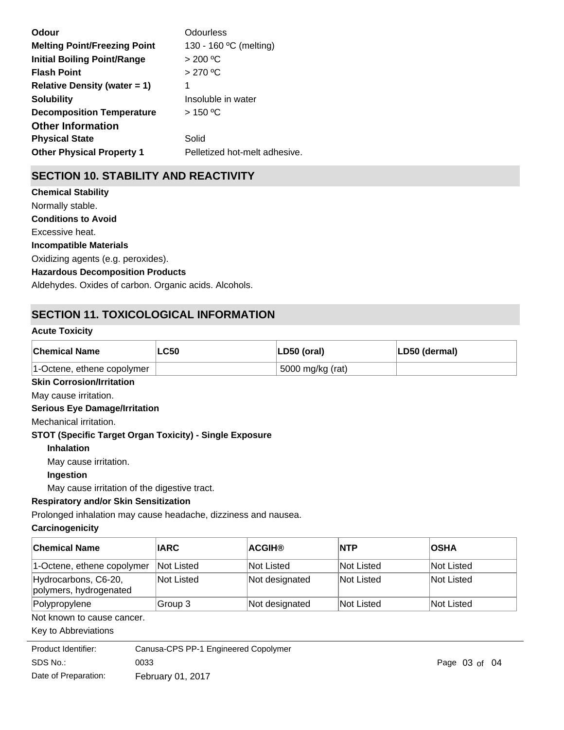| Odour                               | Odourless                     |
|-------------------------------------|-------------------------------|
| <b>Melting Point/Freezing Point</b> | 130 - 160 °C (melting)        |
| <b>Initial Boiling Point/Range</b>  | > 200 °C                      |
| <b>Flash Point</b>                  | >270 °C                       |
| <b>Relative Density (water = 1)</b> | 1                             |
| <b>Solubility</b>                   | Insoluble in water            |
| <b>Decomposition Temperature</b>    | $>$ 150 °C                    |
| <b>Other Information</b>            |                               |
| <b>Physical State</b>               | Solid                         |
| <b>Other Physical Property 1</b>    | Pelletized hot-melt adhesive. |
|                                     |                               |

## **SECTION 10. STABILITY AND REACTIVITY**

**Chemical Stability** Normally stable. **Conditions to Avoid** Excessive heat. **Incompatible Materials** Oxidizing agents (e.g. peroxides). **Hazardous Decomposition Products** Aldehydes. Oxides of carbon. Organic acids. Alcohols.

## **SECTION 11. TOXICOLOGICAL INFORMATION**

## **Acute Toxicity**

| <b>Chemical Name</b>       | <b>LC50</b> | LD50 (oral)      | LD50 (dermal) |
|----------------------------|-------------|------------------|---------------|
| 1-Octene, ethene copolymer |             | 5000 mg/kg (rat) |               |

## **Skin Corrosion/Irritation**

May cause irritation.

## **Serious Eye Damage/Irritation**

Mechanical irritation.

## **STOT (Specific Target Organ Toxicity) - Single Exposure**

**Inhalation**

May cause irritation.

## **Ingestion**

May cause irritation of the digestive tract.

## **Respiratory and/or Skin Sensitization**

Prolonged inhalation may cause headache, dizziness and nausea.

## **Carcinogenicity**

| ∣Chemical Name                                 | <b>IARC</b> | <b>ACGIH®</b>  | <b>NTP</b> | <b>OSHA</b> |
|------------------------------------------------|-------------|----------------|------------|-------------|
| 1-Octene, ethene copolymer                     | Not Listed  | Not Listed     | Not Listed | Not Listed  |
| Hydrocarbons, C6-20,<br>polymers, hydrogenated | Not Listed  | Not designated | Not Listed | Not Listed  |
| Polypropylene                                  | Group 3     | Not designated | Not Listed | Not Listed  |

#### Not known to cause cancer.

#### Key to Abbreviations

| Product Identifier:  | Canusa-CPS PP-1 Engineered Copolymer |                   |  |
|----------------------|--------------------------------------|-------------------|--|
| SDS No.:             | 0033                                 | Page $03$ of $04$ |  |
| Date of Preparation: | <b>February 01, 2017</b>             |                   |  |